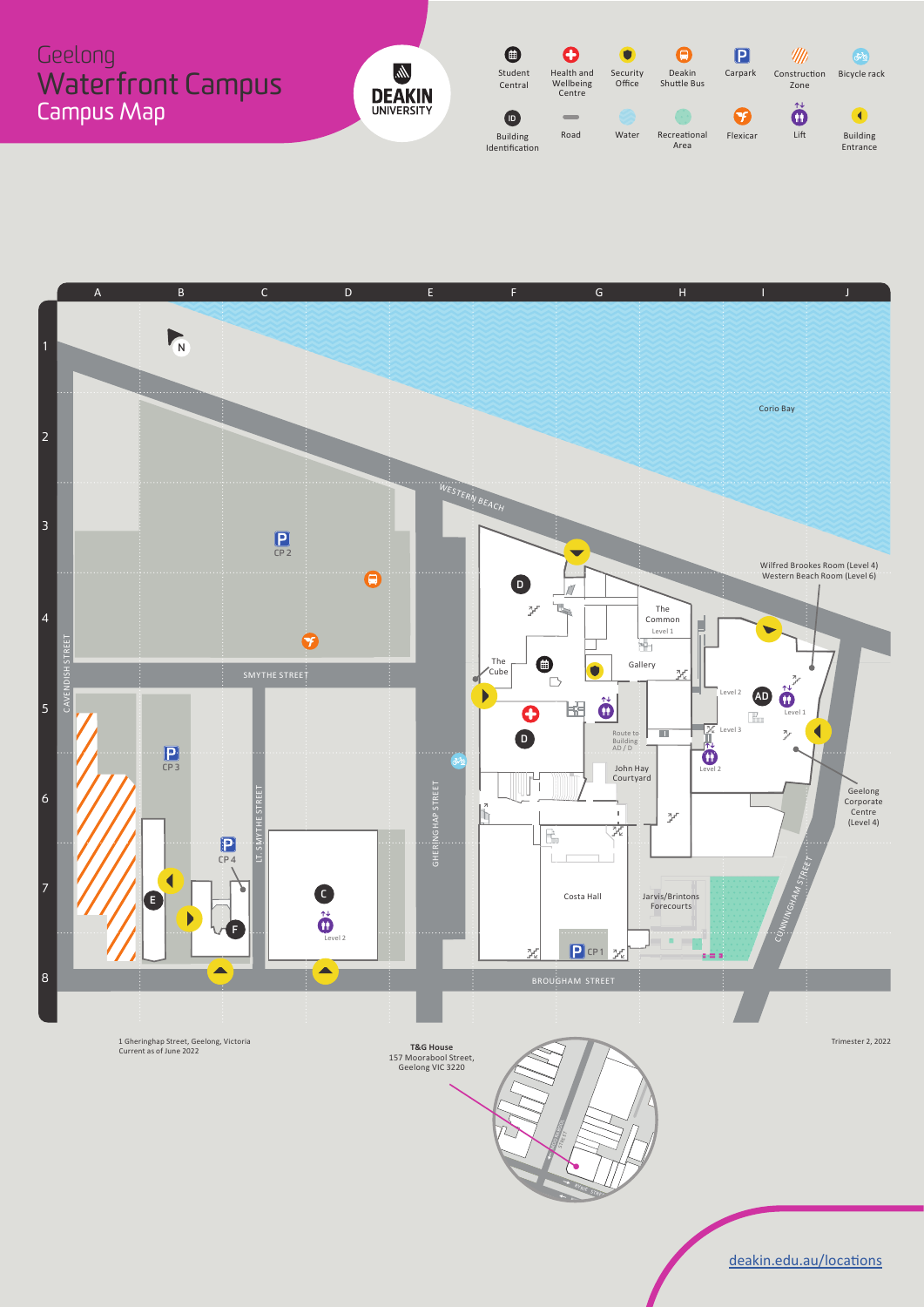#### $\bullet$  $\overline{\mathbf{o}}$  $\bigodot$  $\blacksquare$  $\mathscr{H}\!\!\!\mathscr{W}$  $\frac{1}{2}$ Geelong  $\bullet$ Carpark Bicycle rack Student Health and Wellbeing Security Office Deakin Shuttle Bus Construction Waterfront Campus CentralZone**DEAKIN** Centre  $\ddot{\mathbf{0}}$ Campus Map  $\boldsymbol{\Omega}$  $\bullet$  $\bigodot$ **ID** Building RoadBuilding Road Water Recreational Flexicar Lift Area Identification Entrance



Subway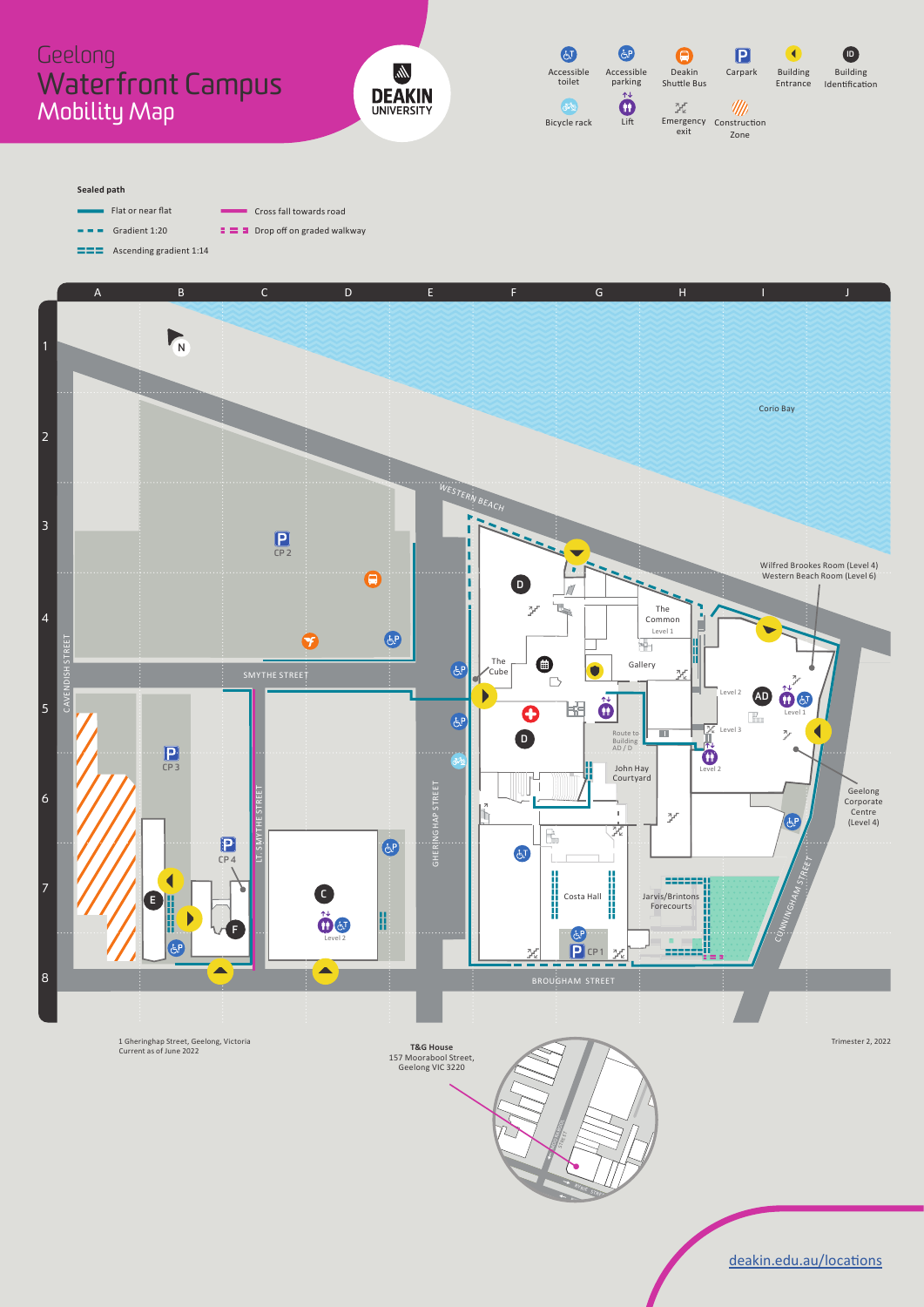## Geelong Waterfront Campus Mobility Map





#### **Sealed path**

Flat or near flat Cross fall towards road  $\sim 100$ Gradient 1:20 $\equiv$   $\equiv$   $\equiv$  Drop off on graded walkway



Subway